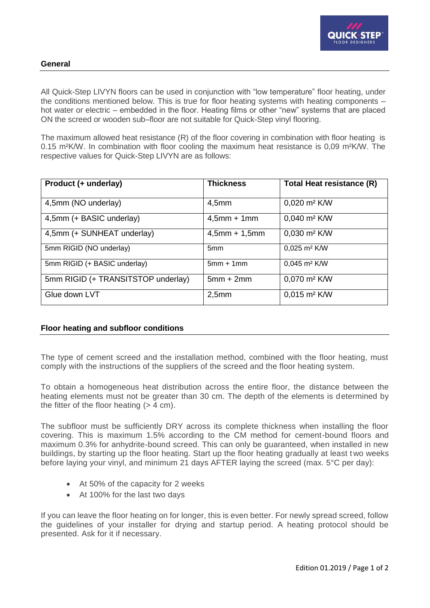

# **General**

All Quick-Step LIVYN floors can be used in conjunction with "low temperature" floor heating, under the conditions mentioned below. This is true for floor heating systems with heating components – hot water or electric – embedded in the floor. Heating films or other "new" systems that are placed ON the screed or wooden sub–floor are not suitable for Quick-Step vinyl flooring.

The maximum allowed heat resistance (R) of the floor covering in combination with floor heating is 0.15 m²K/W. In combination with floor cooling the maximum heat resistance is 0,09 m²K/W. The respective values for Quick-Step LIVYN are as follows:

| Product (+ underlay)               | <b>Thickness</b> | Total Heat resistance (R)       |
|------------------------------------|------------------|---------------------------------|
| 4,5mm (NO underlay)                | 4,5mm            | $0,020 \text{ m}^2 \text{ K/W}$ |
| 4,5mm (+ BASIC underlay)           | $4,5mm + 1mm$    | $0,040 \text{ m}^2 \text{ K/W}$ |
| 4,5mm (+ SUNHEAT underlay)         | $4,5$ mm + 1,5mm | $0,030 \text{ m}^2 \text{ K/W}$ |
| 5mm RIGID (NO underlay)            | 5 <sub>mm</sub>  | 0,025 m <sup>2</sup> K/W        |
| 5mm RIGID (+ BASIC underlay)       | $5mm + 1mm$      | $0,045$ m <sup>2</sup> K/W      |
| 5mm RIGID (+ TRANSITSTOP underlay) | $5mm + 2mm$      | $0,070 \text{ m}^2 \text{ K/W}$ |
| Glue down LVT                      | 2,5mm            | $0,015 \text{ m}^2 \text{ K/W}$ |

# **Floor heating and subfloor conditions**

The type of cement screed and the installation method, combined with the floor heating, must comply with the instructions of the suppliers of the screed and the floor heating system.

To obtain a homogeneous heat distribution across the entire floor, the distance between the heating elements must not be greater than 30 cm. The depth of the elements is determined by the fitter of the floor heating  $(> 4 \text{ cm})$ .

The subfloor must be sufficiently DRY across its complete thickness when installing the floor covering. This is maximum 1.5% according to the CM method for cement-bound floors and maximum 0.3% for anhydrite-bound screed. This can only be guaranteed, when installed in new buildings, by starting up the floor heating. Start up the floor heating gradually at least t wo weeks before laying your vinyl, and minimum 21 days AFTER laying the screed (max. 5°C per day):

- At 50% of the capacity for 2 weeks
- At 100% for the last two days

If you can leave the floor heating on for longer, this is even better. For newly spread screed, follow the guidelines of your installer for drying and startup period. A heating protocol should be presented. Ask for it if necessary.